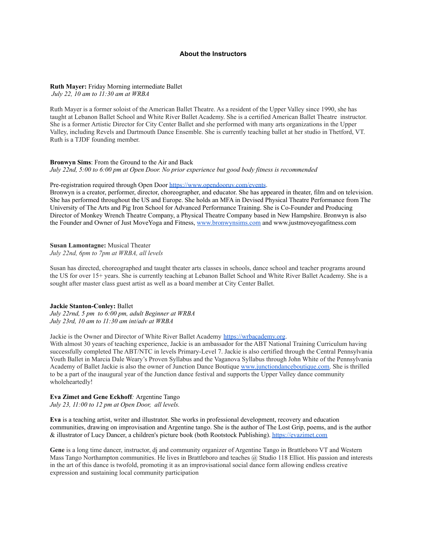# **About the Instructors**

### **Ruth Mayer:** Friday Morning intermediate Ballet

*July 22, 10 am to 11:30 am at WRBA*

Ruth Mayer is a former soloist of the American Ballet Theatre. As a resident of the Upper Valley since 1990, she has taught at Lebanon Ballet School and White River Ballet Academy. She is a certified American Ballet Theatre instructor. She is a former Artistic Director for City Center Ballet and she performed with many arts organizations in the Upper Valley, including Revels and Dartmouth Dance Ensemble. She is currently teaching ballet at her studio in Thetford, VT. Ruth is a TJDF founding member.

#### **Bronwyn Sims**: From the Ground to the Air and Back

*July 22nd, 5:00 to 6:00 pm at Open Door. No prior experience but good body fitness is recommended*

Pre-registration required through Open Door <https://www.opendooruv.com/events>.

Bronwyn is a creator, performer, director, choreographer, and educator. She has appeared in theater, film and on television. She has performed throughout the US and Europe. She holds an MFA in Devised Physical Theatre Performance from The University of The Arts and Pig Iron School for Advanced Performance Training. She is Co-Founder and Producing Director of Monkey Wrench Theatre Company, a Physical Theatre Company based in New Hampshire. Bronwyn is also the Founder and Owner of Just MoveYoga and Fitness, [www.bronwynsims.com](http://www.bronwynsims.com) and www.justmoveyogafitness.com

# **Susan Lamontagne:** Musical Theater

*July 22nd, 6pm to 7pm at WRBA, all levels*

Susan has directed, choreographed and taught theater arts classes in schools, dance school and teacher programs around the US for over 15+ years. She is currently teaching at Lebanon Ballet School and White River Ballet Academy. She is a sought after master class guest artist as well as a board member at City Center Ballet.

### **Jackie Stanton-Conley:** Ballet

*July 22rnd, 5 pm to 6:00 pm, adult Beginner at WRBA July 23rd, 10 am to 11:30 am int/adv at WRBA*

Jackie is the Owner and Director of White River Ballet Academy <https://wrbacademy.org>.

With almost 30 years of teaching experience, Jackie is an ambassador for the ABT National Training Curriculum having successfully completed The ABT/NTC in levels Primary-Level 7. Jackie is also certified through the Central Pennsylvania Youth Ballet in Marcia Dale Weary's Proven Syllabus and the Vaganova Syllabus through John White of the Pennsylvania Academy of Ballet Jackie is also the owner of Junction Dance Boutique [www.junctiondanceboutique.com.](http://www.junctiondanceboutique.com) She is thrilled to be a part of the inaugural year of the Junction dance festival and supports the Upper Valley dance community wholeheartedly!

# **Eva Zimet and Gene Eckhoff***:* Argentine Tango

*July 23, 11:00 to 12 pm at Open Door, all levels.*

**Eva** is a teaching artist, writer and illustrator. She works in professional development, recovery and education communities, drawing on improvisation and Argentine tango. She is the author of The Lost Grip, poems, and is the author & illustrator of Lucy Dancer, a children's picture book (both Rootstock Publishing). <https://evazimet.com>

**Gene** is a long time dancer, instructor, dj and community organizer of Argentine Tango in Brattleboro VT and Western Mass Tango Northampton communities. He lives in Brattleboro and teaches @ Studio 118 Elliot. His passion and interests in the art of this dance is twofold, promoting it as an improvisational social dance form allowing endless creative expression and sustaining local community participation